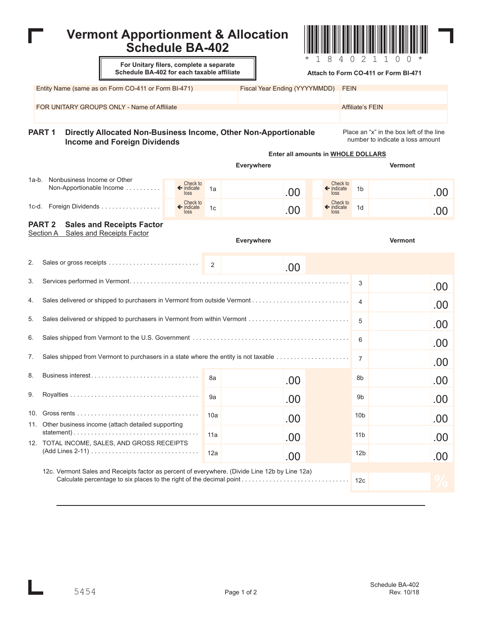## \*184021100\* \*184021100\* **Vermont Apportionment & Allocation Schedule BA-402** Entity Name (same as on Form CO-411 or Form BI-471) **For Unitary filers, complete a separate Schedule BA-402 for each taxable affiliate** Fiscal Year Ending (YYYYMMDD) FEIN FOR UNITARY GROUPS ONLY - Name of Affiliate Affiliate Affiliate Affiliate's FEIN **PART 1 Directly Allocated Non-Business Income, Other Non-Apportionable Income and Foreign Dividends** Place an "x" in the box left of the line number to indicate a loss amount 1a-b. Nonbusiness Income or Other Non-Apportionable Income. . 1c-d. Foreign Dividends . . . . . . . . **Everywhere Vermont** Check to ← indicate Check to ç indicate loss Check to indicate loss Check to ndicate loss 1a 1c 1b 1d **PART 2 Sales and Receipts Factor Everywhere Vermont** Section A Sales and Receipts Factor 2 3 4 5 6 7 8a 9a 10a 11a 12a 8b 9b 10b 11b 12b 12c **%**  $.00$   $\phantom{0} \begin{array}{0} \text{molecule} \\ \text{loss} \end{array}$  1b  $.00$   $\leftarrow$   $^{indicate}$  <sup>1d</sup>  $.00$ .00 .00 .00 .00 .00 .00 .00 .00 .00 .00 .00 .00 .00 .00 .00 .00 **Attach to Form CO-411 or Form BI-471 Enter all amounts in WHOLE DOLLARS** 2. Sales or gross receipts . . . . . . . . . . . . 3. Services performed in Vermont. . . . . . . . . . . . . . . . . . . . . . . . . . . . . . . . . . . . . . . . . . . . . . 4. Sales delivered or shipped to purchasers in Vermont from outside Vermont. . 5. Sales delivered or shipped to purchasers in Vermont from within Vermont . 6. Sales shipped from Vermont to the U.S. Government . . . . . . . . . . . . . . . . . . . . . . . . . . . . . . . . . . . . . . . . . . . . . 7. Sales shipped from Vermont to purchasers in a state where the entity is not taxable . 8. Business interest. . . 9. Royalties . . 10. Gross rents. . . 11. Other business income (attach detailed supporting statement). . . 12. TOTAL INCOME, SALES, AND GROSS RECEIPTS (Add Lines 2-11). . . 12c. Vermont Sales and Receipts factor as percent of everywhere. (Divide Line 12b by Line 12a) Calculate percentage to six places to the right of the decimal point. .